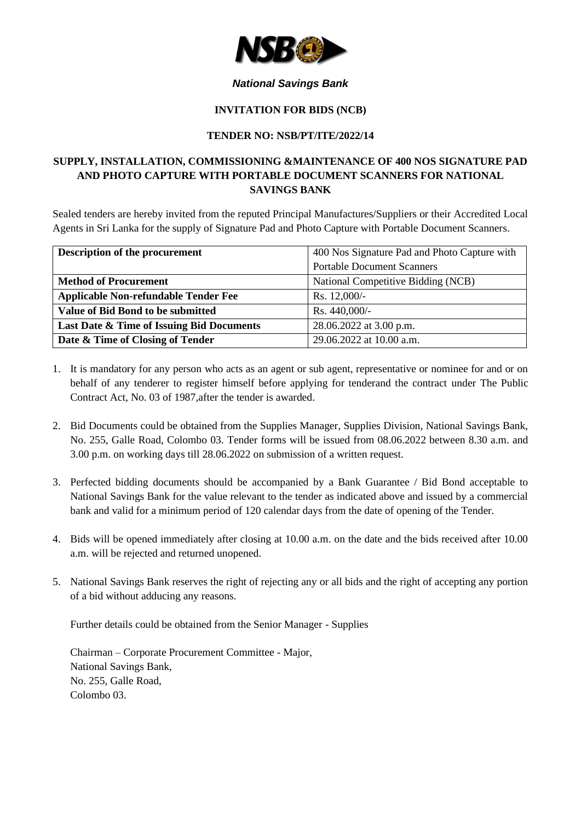

### *National Savings Bank*

#### **INVITATION FOR BIDS (NCB)**

#### **TENDER NO: NSB/PT/ITE/2022/14**

# **SUPPLY, INSTALLATION, COMMISSIONING &MAINTENANCE OF 400 NOS SIGNATURE PAD AND PHOTO CAPTURE WITH PORTABLE DOCUMENT SCANNERS FOR NATIONAL SAVINGS BANK**

Sealed tenders are hereby invited from the reputed Principal Manufactures/Suppliers or their Accredited Local Agents in Sri Lanka for the supply of Signature Pad and Photo Capture with Portable Document Scanners.

| Description of the procurement              | 400 Nos Signature Pad and Photo Capture with |
|---------------------------------------------|----------------------------------------------|
|                                             | <b>Portable Document Scanners</b>            |
| <b>Method of Procurement</b>                | National Competitive Bidding (NCB)           |
| <b>Applicable Non-refundable Tender Fee</b> | Rs. $12,000/-$                               |
| <b>Value of Bid Bond to be submitted</b>    | Rs. 440,000/-                                |
| Last Date & Time of Issuing Bid Documents   | 28.06.2022 at 3.00 p.m.                      |
| Date & Time of Closing of Tender            | 29.06.2022 at 10.00 a.m.                     |

- 1. It is mandatory for any person who acts as an agent or sub agent, representative or nominee for and or on behalf of any tenderer to register himself before applying for tenderand the contract under The Public Contract Act, No. 03 of 1987,after the tender is awarded.
- 2. Bid Documents could be obtained from the Supplies Manager, Supplies Division, National Savings Bank, No. 255, Galle Road, Colombo 03. Tender forms will be issued from 08.06.2022 between 8.30 a.m. and 3.00 p.m. on working days till 28.06.2022 on submission of a written request.
- 3. Perfected bidding documents should be accompanied by a Bank Guarantee / Bid Bond acceptable to National Savings Bank for the value relevant to the tender as indicated above and issued by a commercial bank and valid for a minimum period of 120 calendar days from the date of opening of the Tender.
- 4. Bids will be opened immediately after closing at 10.00 a.m. on the date and the bids received after 10.00 a.m. will be rejected and returned unopened.
- 5. National Savings Bank reserves the right of rejecting any or all bids and the right of accepting any portion of a bid without adducing any reasons.

Further details could be obtained from the Senior Manager - Supplies

Chairman – Corporate Procurement Committee - Major, National Savings Bank, No. 255, Galle Road, Colombo 03.